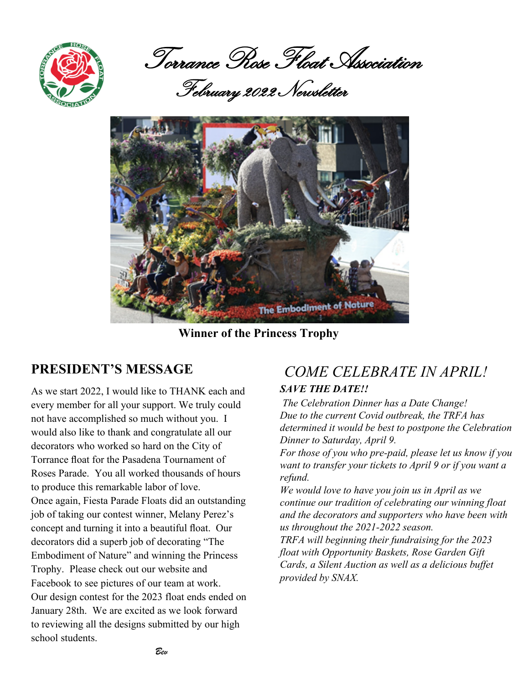

Torrance Rose Float Association

February 2022 Newsletter



 **Winner of the Princess Trophy**

# **PRESIDENT'S MESSAGE**

As we start 2022, I would like to THANK each and every member for all your support. We truly could not have accomplished so much without you. I would also like to thank and congratulate all our decorators who worked so hard on the City of Torrance float for the Pasadena Tournament of Roses Parade. You all worked thousands of hours to produce this remarkable labor of love. Once again, Fiesta Parade Floats did an outstanding job of taking our contest winner, Melany Perez's concept and turning it into a beautiful float. Our decorators did a superb job of decorating "The Embodiment of Nature" and winning the Princess Trophy. Please check out our website and Facebook to see pictures of our team at work. Our design contest for the 2023 float ends ended on January 28th. We are excited as we look forward to reviewing all the designs submitted by our high school students.

# *COME CELEBRATE IN APRIL!*

# *SAVE THE DATE!!*

 *The Celebration Dinner has a Date Change! Due to the current Covid outbreak, the TRFA has determined it would be best to postpone the Celebration Dinner to Saturday, April 9.*

*For those of you who pre-paid, please let us know if you want to transfer your tickets to April 9 or if you want a refund.* 

*We would love to have you join us in April as we continue our tradition of celebrating our winning float and the decorators and supporters who have been with us throughout the 2021-2022 season.*

*TRFA will beginning their fundraising for the 2023 float with Opportunity Baskets, Rose Garden Gift Cards, a Silent Auction as well as a delicious buffet provided by SNAX.*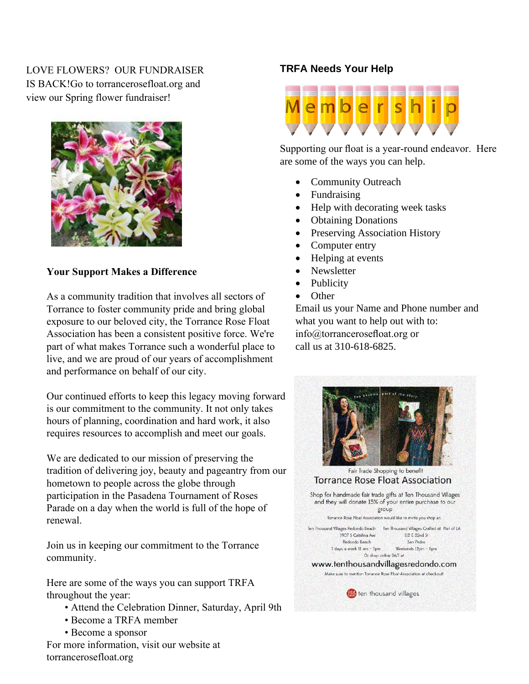## LOVE FLOWERS? OUR FUNDRAISER IS BACK!Go to torrancerosefloat.org and view our Spring flower fundraiser!



### **Your Support Makes a Difference**

As a community tradition that involves all sectors of Torrance to foster community pride and bring global exposure to our beloved city, the Torrance Rose Float Association has been a consistent positive force. We're part of what makes Torrance such a wonderful place to live, and we are proud of our years of accomplishment and performance on behalf of our city.

Our continued efforts to keep this legacy moving forward is our commitment to the community. It not only takes hours of planning, coordination and hard work, it also requires resources to accomplish and meet our goals.

We are dedicated to our mission of preserving the tradition of delivering joy, beauty and pageantry from our hometown to people across the globe through participation in the Pasadena Tournament of Roses Parade on a day when the world is full of the hope of renewal.

Join us in keeping our commitment to the Torrance com[munity.](http://smile.amazon.com/ch/37-1647454)

Here are some of the ways you can support TRFA throughout the year:

- Attend the Celebration Dinner, Saturday, April 9th
- Become a TRFA member
- Become a sponsor

For more information, visit our website at torrancerosefloat.org

## **TRFA Needs Your Help**



Supporting our float is a year‐round endeavor. Here are some of the ways you can help.

- Community Outreach
- Fundraising
- Help with decorating week tasks
- Obtaining Donations
- Preserving Association History
- Computer entry
- Helping at events
- Newsletter
- Publicity
- Other

Email us your Name and Phone number and what you want to help out with to: info@torrancerosefloat.org or call us at 310-618-6825.

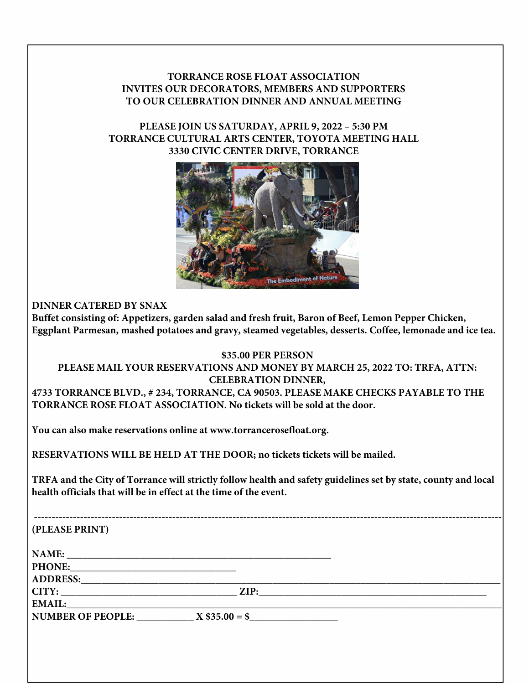## **TORRANCE ROSE FLOAT ASSOCIATION INVITES OUR DECORATORS, MEMBERS AND SUPPORTERS TO OUR CELEBRATION DINNER AND ANNUAL MEETING**

### **PLEASE JOIN US SATURDAY, APRIL 9, 2022 – 5:30 PM TORRANCE CULTURAL ARTS CENTER, TOYOTA MEETING HALL 3330 CIVIC CENTER DRIVE, TORRANCE**



**DINNER CATERED BY SNAX** 

**Buffet consisting of: Appetizers, garden salad and fresh fruit, Baron of Beef, Lemon Pepper Chicken, Eggplant Parmesan, mashed potatoes and gravy, steamed vegetables, desserts. Coffee, lemonade and ice tea.**

### **\$35.00 PER PERSON**

#### **PLEASE MAIL YOUR RESERVATIONS AND MONEY BY MARCH 25, 2022 TO: TRFA, ATTN: CELEBRATION DINNER, 4733 TORRANCE BLVD., # 234, TORRANCE, CA 90503. PLEASE MAKE CHECKS PAYABLE TO THE**

**TORRANCE ROSE FLOAT ASSOCIATION. No tickets will be sold at the door.**

**You can also make reservations online at www.torrancerosefloat.org.**

**RESERVATIONS WILL BE HELD AT THE DOOR; no tickets tickets will be mailed.**

**TRFA and the City of Torrance will strictly follow health and safety guidelines set by state, county and local health officials that will be in effect at the time of the event.**

| (PLEASE PRINT)                   |                 |  |
|----------------------------------|-----------------|--|
|                                  |                 |  |
| NAME:                            |                 |  |
| PHONE:                           |                 |  |
| ADDRESS:                         |                 |  |
| CITY:                            | $\mathbf{ZIP:}$ |  |
| <b>EMAIL:</b>                    |                 |  |
| NUMBER OF PEOPLE: $X $35.00 = $$ |                 |  |
|                                  |                 |  |
|                                  |                 |  |
|                                  |                 |  |